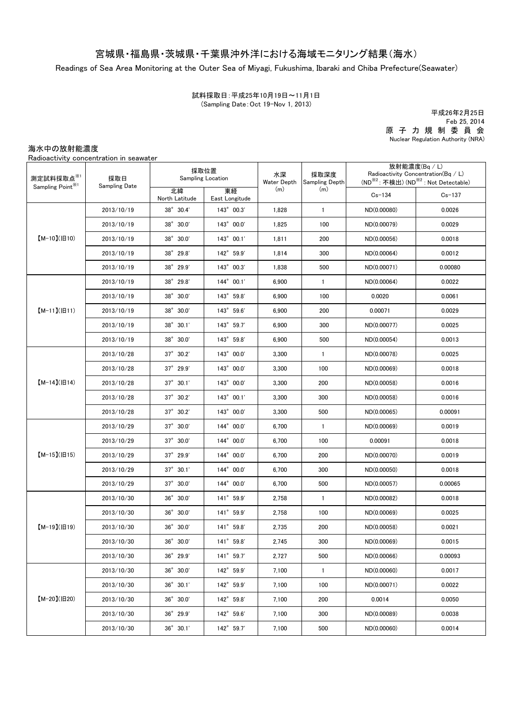# 宮城県・福島県・茨城県・千葉県沖外洋における海域モニタリング結果(海水)

Readings of Sea Area Monitoring at the Outer Sea of Miyagi, Fukushima, Ibaraki and Chiba Prefecture(Seawater)

試料採取日:平成25年10月19日~11月1日 (Sampling Date:Oct 19-Nov 1, 2013)

原 子 力 規 制 委 員 会 Nuclear Regulation Authority (NRA) 平成26年2月25日 Feb 25, 2014

海水中の放射能濃度

Radioactivity concentration in seawater

| 測定試料採取点※1<br>Sampling Point <sup>※1</sup> | 採取日<br><b>Sampling Date</b> | 採取位置<br>Sampling Location   |                      | 水深<br>Water Depth | 採取深度<br>Sampling Depth | 放射能濃度(Bq / L)<br>Radioactivity Concentration(Bq / L)<br>(ND <sup>※2</sup> : 不検出) (ND <sup>※2</sup> : Not Detectable) |            |
|-------------------------------------------|-----------------------------|-----------------------------|----------------------|-------------------|------------------------|----------------------------------------------------------------------------------------------------------------------|------------|
|                                           |                             | 北緯<br>North Latitude        | 東経<br>East Longitude | (m)               | (m)                    | $Cs - 134$                                                                                                           | $Cs - 137$ |
| $[M-10](H10)$                             | 2013/10/19                  | 38° 30.4'                   | 143° 00.3'           | 1,828             | $\mathbf{1}$           | ND(0.00080)                                                                                                          | 0.0026     |
|                                           | 2013/10/19                  | 38° 30.0'                   | 143° 00.0'           | 1,825             | 100                    | ND(0.00079)                                                                                                          | 0.0029     |
|                                           | 2013/10/19                  | 38° 30.0'                   | $143^{\circ}$ 00.1'  | 1,811             | 200                    | ND(0.00056)                                                                                                          | 0.0018     |
|                                           | 2013/10/19                  | 38° 29.8'                   | 142° 59.9'           | 1,814             | 300                    | ND(0.00064)                                                                                                          | 0.0012     |
|                                           | 2013/10/19                  | 38° 29.9'                   | 143° 00.3'           | 1,838             | 500                    | ND(0.00071)                                                                                                          | 0.00080    |
| $(M-11)(H11)$                             | 2013/10/19                  | 38° 29.8'                   | 144° 00.1'           | 6,900             | $\mathbf{1}$           | ND(0.00064)                                                                                                          | 0.0022     |
|                                           | 2013/10/19                  | 38° 30.0'                   | 143° 59.8'           | 6,900             | 100                    | 0.0020                                                                                                               | 0.0061     |
|                                           | 2013/10/19                  | 38° 30.0'                   | 143° 59.6'           | 6,900             | 200                    | 0.00071                                                                                                              | 0.0029     |
|                                           | 2013/10/19                  | 38° 30.1'                   | 143° 59.7'           | 6,900             | 300                    | ND(0.00077)                                                                                                          | 0.0025     |
|                                           | 2013/10/19                  | 38° 30.0'                   | 143° 59.8'           | 6,900             | 500                    | ND(0.00054)                                                                                                          | 0.0013     |
|                                           | 2013/10/28                  | 37° 30.2'                   | 143° 00.0'           | 3,300             | $\mathbf{1}$           | ND(0.00078)                                                                                                          | 0.0025     |
|                                           | 2013/10/28                  | $37^\circ$ 29.9'            | 143° 00.0'           | 3,300             | 100                    | ND(0.00069)                                                                                                          | 0.0018     |
| $(M-14)(H14)$                             | 2013/10/28                  | $37^{\circ}$ 30.1'          | 143° 00.0'           | 3,300             | 200                    | ND(0.00058)                                                                                                          | 0.0016     |
|                                           | 2013/10/28                  | $37^\circ$ $30.2'$          | 143° 00.1'           | 3,300             | 300                    | ND(0.00058)                                                                                                          | 0.0016     |
|                                           | 2013/10/28                  | $37^\circ$ $30.2'$          | 143° 00.0'           | 3,300             | 500                    | ND(0.00065)                                                                                                          | 0.00091    |
| $(M-15)(H15)$                             | 2013/10/29                  | 37° 30.0'                   | 144° 00.0'           | 6,700             | $\mathbf{1}$           | ND(0.00069)                                                                                                          | 0.0019     |
|                                           | 2013/10/29                  | $37^{\circ}$ 30.0           | 144° 00.0'           | 6,700             | 100                    | 0.00091                                                                                                              | 0.0018     |
|                                           | 2013/10/29                  | $37^{\circ}$ 29.9'          | 144° 00.0'           | 6,700             | 200                    | ND(0.00070)                                                                                                          | 0.0019     |
|                                           | 2013/10/29                  | $37^{\circ}$ 30.1'          | 144° 00.0'           | 6,700             | 300                    | ND(0.00050)                                                                                                          | 0.0018     |
|                                           | 2013/10/29                  | 37° 30.0'                   | 144° 00.0'           | 6,700             | 500                    | ND(0.00057)                                                                                                          | 0.00065    |
| $(M-19)(H19)$                             | 2013/10/30                  | $36^\circ$ $30.0'$          | 141° 59.9'           | 2,758             | $\mathbf{1}$           | ND(0.00082)                                                                                                          | 0.0018     |
|                                           | 2013/10/30                  | $36^\circ$ $30.0'$          | 141° 59.9'           | 2,758             | 100                    | ND(0.00069)                                                                                                          | 0.0025     |
|                                           | 2013/10/30                  | $36^\circ$ $30.0'$          | $141^{\circ}$ 59.8'  | 2,735             | 200                    | ND(0.00058)                                                                                                          | 0.0021     |
|                                           | 2013/10/30                  | 36° 30.0'                   | $141^{\circ}$ 59.8'  | 2,745             | 300                    | ND(0.00069)                                                                                                          | 0.0015     |
|                                           | 2013/10/30                  | $36^{\circ}$ 29.9'          | 141° 59.7'           | 2,727             | 500                    | ND(0.00066)                                                                                                          | 0.00093    |
| $[M-20](H20)$                             | 2013/10/30                  | $36^{\circ}$ $30.0'$        | 142° 59.9'           | 7,100             | $\mathbf{1}$           | ND(0.00060)                                                                                                          | 0.0017     |
|                                           | 2013/10/30                  | $36^{\circ}$ 30.1'          | 142° 59.9'           | 7,100             | 100                    | ND(0.00071)                                                                                                          | 0.0022     |
|                                           | 2013/10/30                  | $36^{\circ}$ $30.0^{\circ}$ | 142° 59.8'           | 7,100             | 200                    | 0.0014                                                                                                               | 0.0050     |
|                                           | 2013/10/30                  | 36° 29.9'                   | 142° 59.6'           | 7,100             | 300                    | ND(0.00089)                                                                                                          | 0.0038     |
|                                           | 2013/10/30                  | $36^{\circ}$ $30.1'$        | 142° 59.7'           | 7,100             | 500                    | ND(0.00060)                                                                                                          | 0.0014     |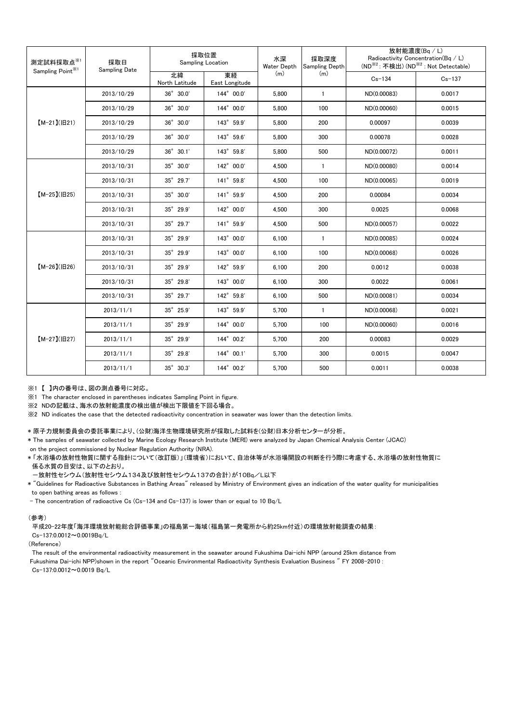| 測定試料採取点※1<br>Sampling Point <sup>※1</sup> | 採取日<br><b>Sampling Date</b> | 採取位置<br><b>Sampling Location</b> |                      | 水深<br>Water Depth | 採取深度<br><b>Sampling Depth</b> | 放射能濃度(Bq / L)<br>Radioactivity Concentration(Bq / L)<br>(ND <sup>※2</sup> : 不検出) (ND <sup>※2</sup> : Not Detectable) |            |
|-------------------------------------------|-----------------------------|----------------------------------|----------------------|-------------------|-------------------------------|----------------------------------------------------------------------------------------------------------------------|------------|
|                                           |                             | 北緯<br>North Latitude             | 東経<br>East Longitude | (m)               | (m)                           | $Cs - 134$                                                                                                           | $Cs - 137$ |
| $[M-21](H21)$                             | 2013/10/29                  | 36° 30.0'                        | 144° 00.0'           | 5.800             | $\mathbf{1}$                  | ND(0.00083)                                                                                                          | 0.0017     |
|                                           | 2013/10/29                  | 36° 30.0'                        | 144° 00.0'           | 5.800             | 100                           | ND(0.00060)                                                                                                          | 0.0015     |
|                                           | 2013/10/29                  | $36^{\circ}$ $30.0^{\circ}$      | 143° 59.9'           | 5.800             | 200                           | 0.00097                                                                                                              | 0.0039     |
|                                           | 2013/10/29                  | 36° 30.0'                        | 143° 59.6'           | 5.800             | 300                           | 0.00078                                                                                                              | 0.0028     |
|                                           | 2013/10/29                  | $36^{\circ}$ 30.1'               | 143° 59.8'           | 5.800             | 500                           | ND(0.00072)                                                                                                          | 0.0011     |
| $[M-25](H25)$                             | 2013/10/31                  | 35° 30.0'                        | 142° 00.0'           | 4,500             | $\mathbf{1}$                  | ND(0.00080)                                                                                                          | 0.0014     |
|                                           | 2013/10/31                  | 35° 29.7'                        | 141° 59.8'           | 4.500             | 100                           | ND(0.00065)                                                                                                          | 0.0019     |
|                                           | 2013/10/31                  | $35^{\circ}$ $30.0^{\circ}$      | 141° 59.9'           | 4,500             | 200                           | 0.00084                                                                                                              | 0.0034     |
|                                           | 2013/10/31                  | 35° 29.9'                        | 142° 00.0'           | 4.500             | 300                           | 0.0025                                                                                                               | 0.0068     |
|                                           | 2013/10/31                  | 35° 29.7'                        | 141° 59.9'           | 4,500             | 500                           | ND(0.00057)                                                                                                          | 0.0022     |
| $[M-26](H26)$                             | 2013/10/31                  | 35° 29.9'                        | 143° 00.0'           | 6.100             | $\mathbf{1}$                  | ND(0.00085)                                                                                                          | 0.0024     |
|                                           | 2013/10/31                  | 35° 29.9'                        | 143° 00.0'           | 6.100             | 100                           | ND(0.00068)                                                                                                          | 0.0026     |
|                                           | 2013/10/31                  | 35° 29.9'                        | 142° 59.9'           | 6,100             | 200                           | 0.0012                                                                                                               | 0.0038     |
|                                           | 2013/10/31                  | $35^{\circ}$ 29.8'               | 143° 00.0'           | 6.100             | 300                           | 0.0022                                                                                                               | 0.0061     |
|                                           | 2013/10/31                  | 35° 29.7'                        | 142° 59.8'           | 6,100             | 500                           | ND(0.00081)                                                                                                          | 0.0034     |
| $[M-27](B27)$                             | 2013/11/1                   | $35^{\circ}$ $25.9^{\circ}$      | 143° 59.9'           | 5.700             | $\mathbf{1}$                  | ND(0.00068)                                                                                                          | 0.0021     |
|                                           | 2013/11/1                   | 35° 29.9'                        | 144° 00.0'           | 5,700             | 100                           | ND(0.00060)                                                                                                          | 0.0016     |
|                                           | 2013/11/1                   | 35° 29.9'                        | 144° 00.2'           | 5.700             | 200                           | 0.00083                                                                                                              | 0.0029     |
|                                           | 2013/11/1                   | 35° 29.8'                        | 144° 00.1'           | 5,700             | 300                           | 0.0015                                                                                                               | 0.0047     |
|                                           | 2013/11/1                   | 35° 30.3'                        | 144° 00.2'           | 5,700             | 500                           | 0.0011                                                                                                               | 0.0038     |

### ※1 【 】内の番号は、図の測点番号に対応。

※1 The character enclosed in parentheses indicates Sampling Point in figure.

※2 NDの記載は、海水の放射能濃度の検出値が検出下限値を下回る場合。

※2 ND indicates the case that the detected radioactivity concentration in seawater was lower than the detection limits.

### \* 原子力規制委員会の委託事業により、(公財)海洋生物環境研究所が採取した試料を(公財)日本分析センターが分析。

\* The samples of seawater collected by Marine Ecology Research Institute (MERI) were analyzed by Japan Chemical Analysis Center (JCAC)

on the project commissioned by Nuclear Regulation Authority (NRA).

\* 「水浴場の放射性物質に関する指針について(改訂版)」(環境省)において、自治体等が水浴場開設の判断を行う際に考慮する、水浴場の放射性物質に 係る水質の目安は、以下のとおり。

-放射性セシウム(放射性セシウム134及び放射性セシウム137の合計)が10Bq/L以下

\* "Guidelines for Radioactive Substances in Bathing Areas" released by Ministry of Environment gives an indication of the water quality for municipalities to open bathing areas as follows :

- The concentration of radioactive Cs (Cs-134 and Cs-137) is lower than or equal to 10 Bq/L

### (参考)

平成20-22年度「海洋環境放射能総合評価事業」の福島第一海域(福島第一発電所から約25km付近)の環境放射能調査の結果: Cs-137:0.0012~0.0019Bq/L

(Reference)

The result of the environmental radioactivity measurement in the seawater around Fukushima Dai-ichi NPP (around 25km distance from Fukushima Dai-ichi NPP)shown in the report "Oceanic Environmental Radioactivity Synthesis Evaluation Business " FY 2008-2010 : Cs-137:0.0012~0.0019 Bq/L